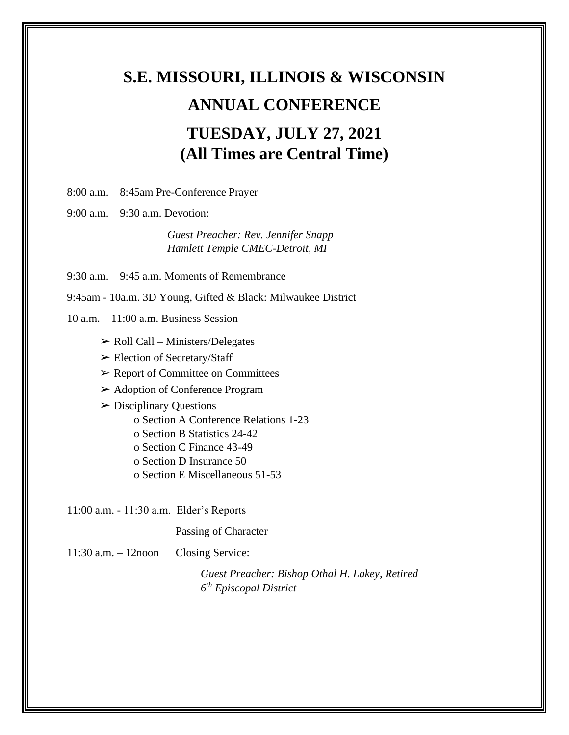# **S.E. MISSOURI, ILLINOIS & WISCONSIN ANNUAL CONFERENCE TUESDAY, JULY 27, 2021 (All Times are Central Time)**

8:00 a.m. – 8:45am Pre-Conference Prayer

9:00 a.m. – 9:30 a.m. Devotion:

*Guest Preacher: Rev. Jennifer Snapp Hamlett Temple CMEC-Detroit, MI*

9:30 a.m. – 9:45 a.m. Moments of Remembrance

9:45am - 10a.m. 3D Young, Gifted & Black: Milwaukee District

 $10$  a.m.  $-11:00$  a.m. Business Session

- $\triangleright$  Roll Call Ministers/Delegates
- ➢ Election of Secretary/Staff
- ➢ Report of Committee on Committees
- ➢ Adoption of Conference Program
- $\triangleright$  Disciplinary Questions
	- o Section A Conference Relations 1-23
	- o Section B Statistics 24-42
	- o Section C Finance 43-49
	- o Section D Insurance 50
	- o Section E Miscellaneous 51-53

11:00 a.m. - 11:30 a.m. Elder's Reports

Passing of Character

11:30 a.m. – 12noon Closing Service:

*Guest Preacher: Bishop Othal H. Lakey, Retired 6 th Episcopal District*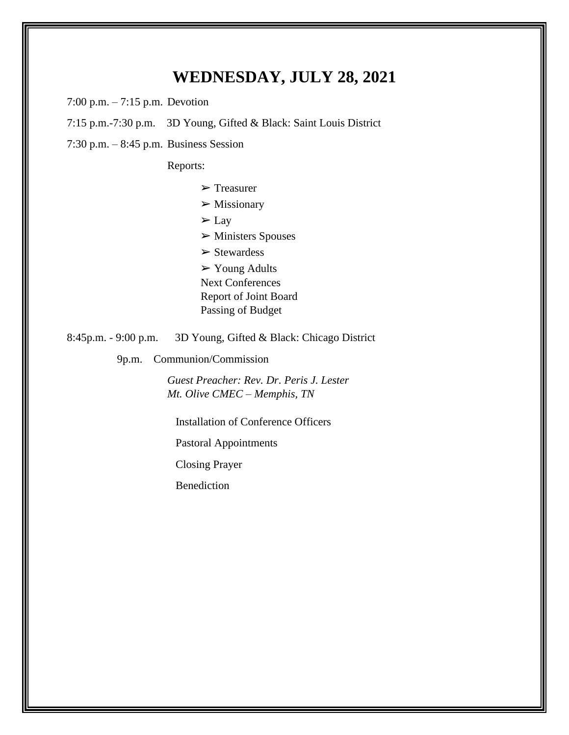### **WEDNESDAY, JULY 28, 2021**

7:00 p.m. – 7:15 p.m. Devotion

7:15 p.m.-7:30 p.m. 3D Young, Gifted & Black: Saint Louis District

7:30 p.m. – 8:45 p.m. Business Session

Reports:

➢ Treasurer

 $\triangleright$  Missionary

 $\Sigma$  Lay

➢ Ministers Spouses

 $\triangleright$  Stewardess

 $\triangleright$  Young Adults

Next Conferences

Report of Joint Board

Passing of Budget

8:45p.m. - 9:00 p.m. 3D Young, Gifted & Black: Chicago District

9p.m. Communion/Commission

*Guest Preacher: Rev. Dr. Peris J. Lester Mt. Olive CMEC – Memphis, TN*

Installation of Conference Officers

Pastoral Appointments

Closing Prayer

Benediction